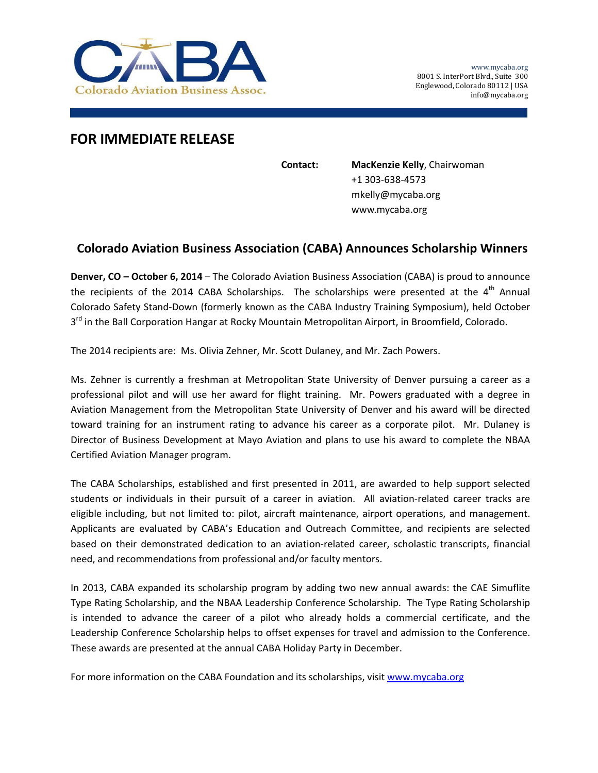

## **FOR IMMEDIATE RELEASE**

**Contact: MacKenzie Kelly**, Chairwoman +1 303‐638‐4573 mkelly@mycaba.org www.mycaba.org

## **Colorado Aviation Business Association (CABA) Announces Scholarship Winners**

**Denver, CO – October 6, 2014** – The Colorado Aviation Business Association (CABA) is proud to announce the recipients of the 2014 CABA Scholarships. The scholarships were presented at the  $4<sup>th</sup>$  Annual Colorado Safety Stand‐Down (formerly known as the CABA Industry Training Symposium), held October 3<sup>rd</sup> in the Ball Corporation Hangar at Rocky Mountain Metropolitan Airport, in Broomfield, Colorado.

The 2014 recipients are: Ms. Olivia Zehner, Mr. Scott Dulaney, and Mr. Zach Powers.

Ms. Zehner is currently a freshman at Metropolitan State University of Denver pursuing a career as a professional pilot and will use her award for flight training. Mr. Powers graduated with a degree in Aviation Management from the Metropolitan State University of Denver and his award will be directed toward training for an instrument rating to advance his career as a corporate pilot. Mr. Dulaney is Director of Business Development at Mayo Aviation and plans to use his award to complete the NBAA Certified Aviation Manager program.

The CABA Scholarships, established and first presented in 2011, are awarded to help support selected students or individuals in their pursuit of a career in aviation. All aviation-related career tracks are eligible including, but not limited to: pilot, aircraft maintenance, airport operations, and management. Applicants are evaluated by CABA's Education and Outreach Committee, and recipients are selected based on their demonstrated dedication to an aviation‐related career, scholastic transcripts, financial need, and recommendations from professional and/or faculty mentors.

In 2013, CABA expanded its scholarship program by adding two new annual awards: the CAE Simuflite Type Rating Scholarship, and the NBAA Leadership Conference Scholarship. The Type Rating Scholarship is intended to advance the career of a pilot who already holds a commercial certificate, and the Leadership Conference Scholarship helps to offset expenses for travel and admission to the Conference. These awards are presented at the annual CABA Holiday Party in December.

For more information on the CABA Foundation and its scholarships, visit www.mycaba.org